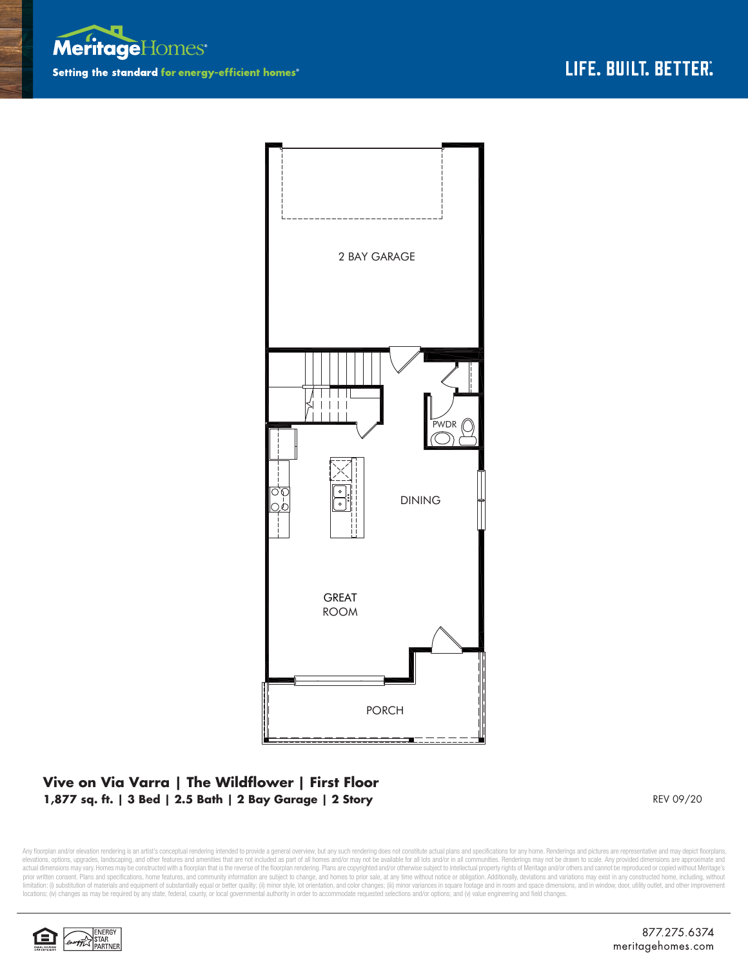



## **Vive on Via Varra | The Wildflower | First Floor 1,877 sq. ft. | 3 Bed | 2.5 Bath | 2 Bay Garage | 2 Story** REV 09/20

Any floorplan and/or elevation rendering is an artist's conceptual rendering intended to provide a general overview, but any such rendering does not constitute actual plans and specifications for any home. Renderings and p elevations, options, upgrades, landscaping, and other features and amenities that are not included as part of all homes and/or may not be available for all lots and/or in all communities. Renderings may not be drawn to sca limitation: (i) substitution of materials and equipment of substantially equal or better quality; (ii) minor style, lot orientation, and color changes; (iii) minor variances in square footage and in room and space dimensio locations; (iv) changes as may be required by any state, federal, county, or local governmental authority in order to accommodate requested selections and/or options; and (v) value engineering and field changes.